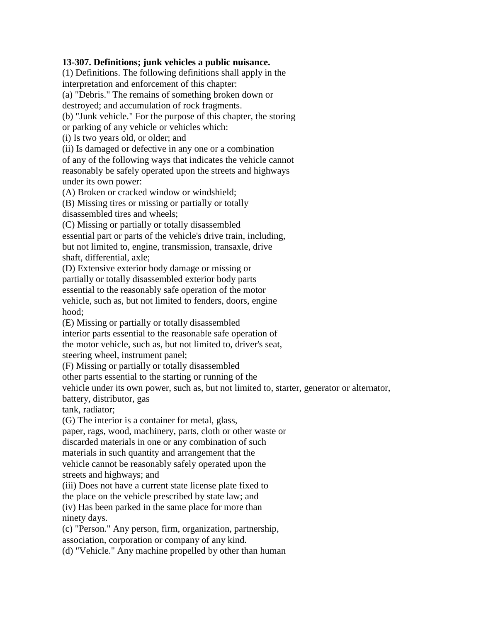## **13-307. Definitions; junk vehicles a public nuisance.**

(1) Definitions. The following definitions shall apply in the interpretation and enforcement of this chapter:

(a) "Debris." The remains of something broken down or

destroyed; and accumulation of rock fragments.

(b) "Junk vehicle." For the purpose of this chapter, the storing

or parking of any vehicle or vehicles which:

(i) Is two years old, or older; and

(ii) Is damaged or defective in any one or a combination

of any of the following ways that indicates the vehicle cannot reasonably be safely operated upon the streets and highways under its own power:

(A) Broken or cracked window or windshield;

(B) Missing tires or missing or partially or totally

disassembled tires and wheels;

(C) Missing or partially or totally disassembled essential part or parts of the vehicle's drive train, including, but not limited to, engine, transmission, transaxle, drive shaft, differential, axle;

(D) Extensive exterior body damage or missing or partially or totally disassembled exterior body parts essential to the reasonably safe operation of the motor vehicle, such as, but not limited to fenders, doors, engine hood;

(E) Missing or partially or totally disassembled

interior parts essential to the reasonable safe operation of

the motor vehicle, such as, but not limited to, driver's seat, steering wheel, instrument panel;

(F) Missing or partially or totally disassembled

other parts essential to the starting or running of the

vehicle under its own power, such as, but not limited to, starter, generator or alternator,

battery, distributor, gas

tank, radiator;

(G) The interior is a container for metal, glass,

paper, rags, wood, machinery, parts, cloth or other waste or discarded materials in one or any combination of such materials in such quantity and arrangement that the vehicle cannot be reasonably safely operated upon the

streets and highways; and

(iii) Does not have a current state license plate fixed to

the place on the vehicle prescribed by state law; and

(iv) Has been parked in the same place for more than ninety days.

(c) "Person." Any person, firm, organization, partnership, association, corporation or company of any kind.

(d) "Vehicle." Any machine propelled by other than human